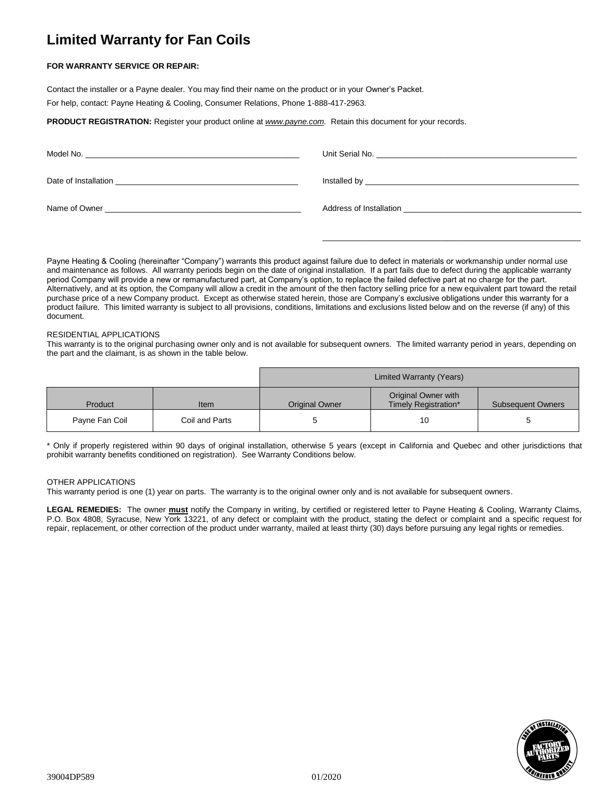# **Limited Warranty for Fan Coils**

## **FOR WARRANTY SERVICE OR REPAIR:**

Contact the installer or a Payne dealer. You may find their name on the product or in your Owner's Packet.

For help, contact: Payne Heating & Cooling, Consumer Relations, Phone 1-888-417-2963.

**PRODUCT REGISTRATION:** Register your product online at *[www.payne.com.](http://www.payne.com/)* Retain this document for your records.

| Model No.<br><u> 1989 - Andrea State Barbara, amerikan bahasa dalam personal dan berasal dalam personal dan berasal dalam per</u> |                                                                                                            |
|-----------------------------------------------------------------------------------------------------------------------------------|------------------------------------------------------------------------------------------------------------|
| Date of Installation                                                                                                              |                                                                                                            |
| Name of Owner                                                                                                                     | Address of Installation<br>the contract of the contract of the contract of the contract of the contract of |

\_\_\_\_\_\_\_\_\_\_\_\_\_\_\_\_\_\_\_\_\_\_\_\_\_\_\_\_\_\_\_\_\_\_\_\_\_\_\_\_\_\_\_\_\_\_\_\_\_\_\_\_\_\_\_\_\_\_

Payne Heating & Cooling (hereinafter "Company") warrants this product against failure due to defect in materials or workmanship under normal use and maintenance as follows. All warranty periods begin on the date of original installation. If a part fails due to defect during the applicable warranty period Company will provide a new or remanufactured part, at Company's option, to replace the failed defective part at no charge for the part. Alternatively, and at its option, the Company will allow a credit in the amount of the then factory selling price for a new equivalent part toward the retail purchase price of a new Company product. Except as otherwise stated herein, those are Company's exclusive obligations under this warranty for a product failure. This limited warranty is subject to all provisions, conditions, limitations and exclusions listed below and on the reverse (if any) of this document.

### RESIDENTIAL APPLICATIONS

This warranty is to the original purchasing owner only and is not available for subsequent owners. The limited warranty period in years, depending on the part and the claimant, is as shown in the table below.

|                |                | Limited Warranty (Years) |                                             |                          |
|----------------|----------------|--------------------------|---------------------------------------------|--------------------------|
| Product        | Item           | <b>Original Owner</b>    | Original Owner with<br>Timely Registration* | <b>Subsequent Owners</b> |
| Payne Fan Coil | Coil and Parts |                          | 10                                          | э                        |

\* Only if properly registered within 90 days of original installation, otherwise 5 years (except in California and Quebec and other jurisdictions that prohibit warranty benefits conditioned on registration). See Warranty Conditions below.

### OTHER APPLICATIONS

This warranty period is one (1) year on parts. The warranty is to the original owner only and is not available for subsequent owners.

**LEGAL REMEDIES:** The owner **must** notify the Company in writing, by certified or registered letter to Payne Heating & Cooling, Warranty Claims, P.O. Box 4808, Syracuse, New York 13221, of any defect or complaint with the product, stating the defect or complaint and a specific request for repair, replacement, or other correction of the product under warranty, mailed at least thirty (30) days before pursuing any legal rights or remedies.